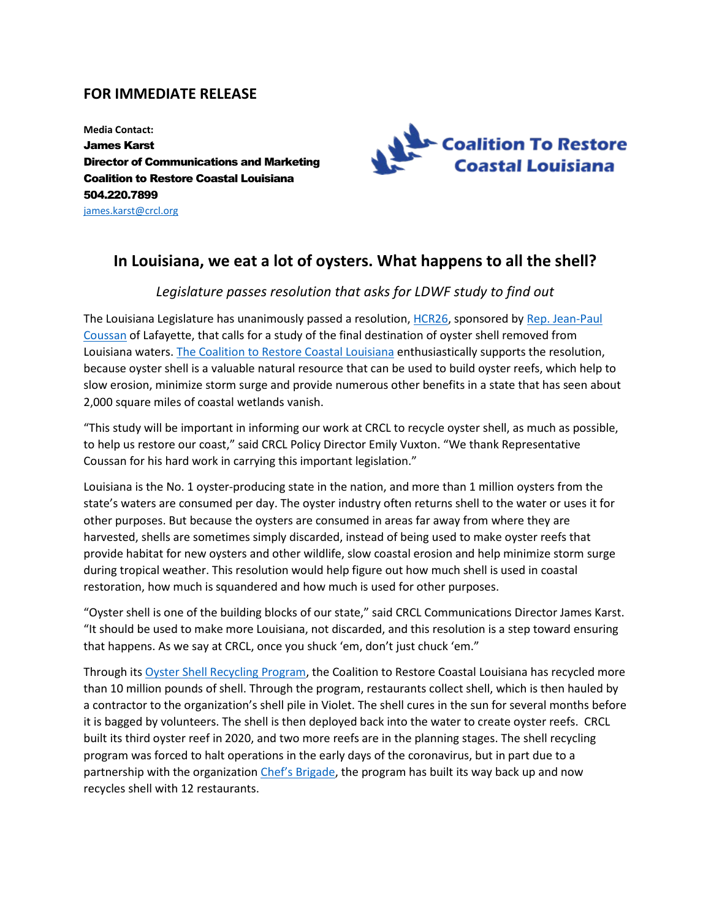## **FOR IMMEDIATE RELEASE**

**Media Contact:** James Karst Director of Communications and Marketing Coalition to Restore Coastal Louisiana 504.220.7899 [james.karst@crcl.org](mailto:james.karst@crcl.org)



## **In Louisiana, we eat a lot of oysters. What happens to all the shell?**

## *Legislature passes resolution that asks for LDWF study to find out*

The Louisiana Legislature has unanimously passed a resolution, [HCR26,](http://www.legis.la.gov/legis/BillInfo.aspx?i=240752) sponsored by Rep. Jean-Paul [Coussan](https://house.louisiana.gov/H_Reps/members?ID=45) of Lafayette, that calls for a study of the final destination of oyster shell removed from Louisiana waters. [The Coalition to Restore Coastal Louisiana](https://www.crcl.org/) enthusiastically supports the resolution, because oyster shell is a valuable natural resource that can be used to build oyster reefs, which help to slow erosion, minimize storm surge and provide numerous other benefits in a state that has seen about 2,000 square miles of coastal wetlands vanish.

"This study will be important in informing our work at CRCL to recycle oyster shell, as much as possible, to help us restore our coast," said CRCL Policy Director Emily Vuxton. "We thank Representative Coussan for his hard work in carrying this important legislation."

Louisiana is the No. 1 oyster-producing state in the nation, and more than 1 million oysters from the state's waters are consumed per day. The oyster industry often returns shell to the water or uses it for other purposes. But because the oysters are consumed in areas far away from where they are harvested, shells are sometimes simply discarded, instead of being used to make oyster reefs that provide habitat for new oysters and other wildlife, slow coastal erosion and help minimize storm surge during tropical weather. This resolution would help figure out how much shell is used in coastal restoration, how much is squandered and how much is used for other purposes.

"Oyster shell is one of the building blocks of our state," said CRCL Communications Director James Karst. "It should be used to make more Louisiana, not discarded, and this resolution is a step toward ensuring that happens. As we say at CRCL, once you shuck 'em, don't just chuck 'em."

Through its [Oyster Shell Recycling Program,](https://www.crcl.org/oyster-shell-recycling) the Coalition to Restore Coastal Louisiana has recycled more than 10 million pounds of shell. Through the program, restaurants collect shell, which is then hauled by a contractor to the organization's shell pile in Violet. The shell cures in the sun for several months before it is bagged by volunteers. The shell is then deployed back into the water to create oyster reefs. CRCL built its third oyster reef in 2020, and two more reefs are in the planning stages. The shell recycling program was forced to halt operations in the early days of the coronavirus, but in part due to a partnership with the organizatio[n Chef's Brigade,](https://chefsbrigade.org/) the program has built its way back up and now recycles shell with 12 restaurants.